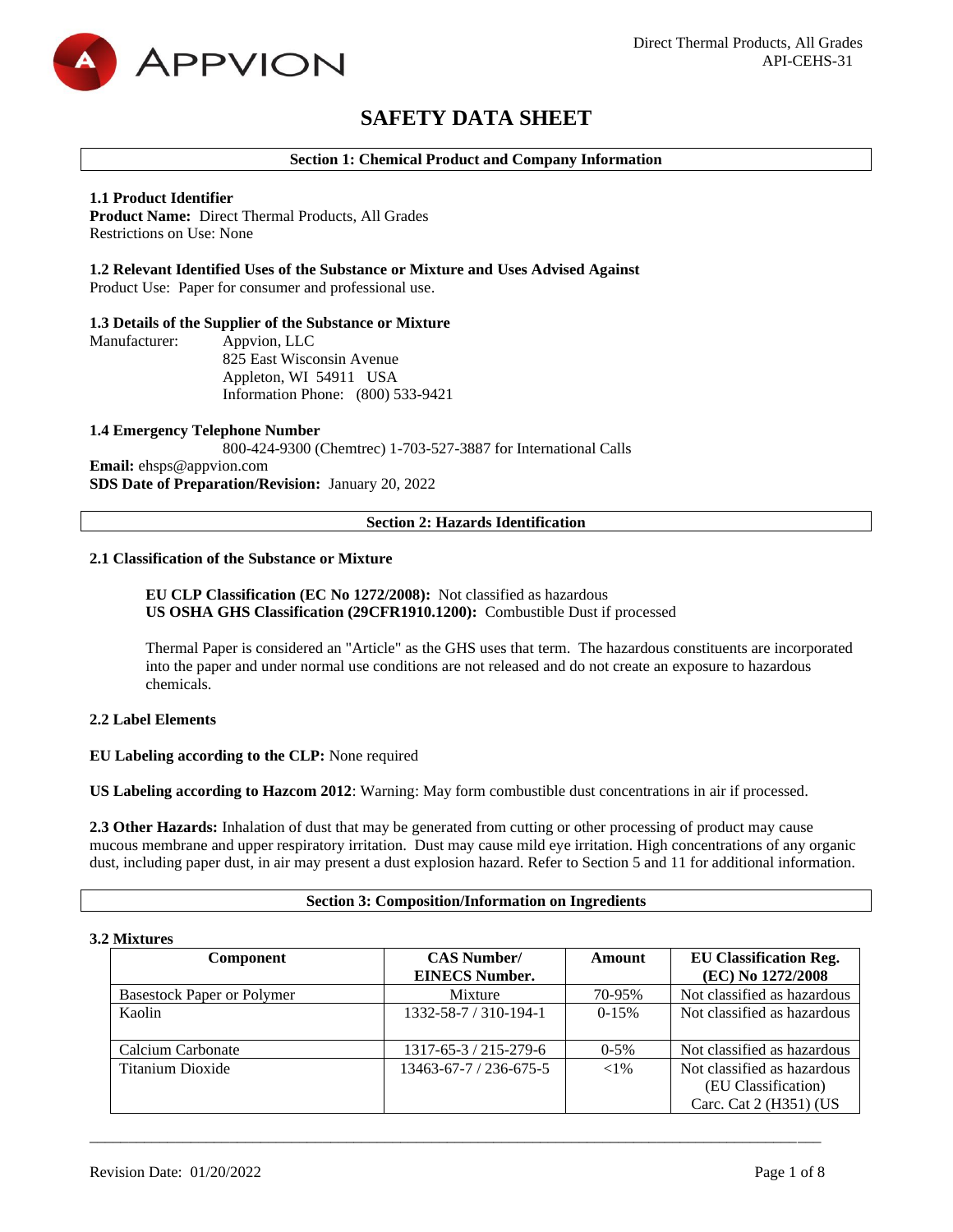

# **SAFETY DATA SHEET**

## **Section 1: Chemical Product and Company Information**

# **1.1 Product Identifier**

**Product Name:** Direct Thermal Products, All Grades Restrictions on Use: None

# **1.2 Relevant Identified Uses of the Substance or Mixture and Uses Advised Against**

Product Use: Paper for consumer and professional use.

#### **1.3 Details of the Supplier of the Substance or Mixture**

Manufacturer: Appvion, LLC 825 East Wisconsin Avenue Appleton, WI 54911 USA Information Phone: (800) 533-9421

**1.4 Emergency Telephone Number** 800-424-9300 (Chemtrec) 1-703-527-3887 for International Calls **Email:** ehsps@appvion.com **SDS Date of Preparation/Revision:** January 20, 2022

# **Section 2: Hazards Identification**

#### **2.1 Classification of the Substance or Mixture**

# **EU CLP Classification (EC No 1272/2008):** Not classified as hazardous **US OSHA GHS Classification (29CFR1910.1200):** Combustible Dust if processed

Thermal Paper is considered an "Article" as the GHS uses that term. The hazardous constituents are incorporated into the paper and under normal use conditions are not released and do not create an exposure to hazardous chemicals.

# **2.2 Label Elements**

#### **EU Labeling according to the CLP:** None required

**US Labeling according to Hazcom 2012**: Warning: May form combustible dust concentrations in air if processed.

**2.3 Other Hazards:** Inhalation of dust that may be generated from cutting or other processing of product may cause mucous membrane and upper respiratory irritation. Dust may cause mild eye irritation. High concentrations of any organic dust, including paper dust, in air may present a dust explosion hazard. Refer to Section 5 and 11 for additional information.

#### **Section 3: Composition/Information on Ingredients**

#### **3.2 Mixtures**

| <b>Component</b>                  | <b>CAS Number/</b><br><b>EINECS Number.</b> | Amount   | <b>EU Classification Reg.</b><br>(EC) No 1272/2008                           |
|-----------------------------------|---------------------------------------------|----------|------------------------------------------------------------------------------|
| <b>Basestock Paper or Polymer</b> | Mixture                                     | 70-95%   | Not classified as hazardous                                                  |
| Kaolin                            | 1332-58-7 / 310-194-1                       | $0-15%$  | Not classified as hazardous                                                  |
| Calcium Carbonate                 | 1317-65-3 / 215-279-6                       | $0-5%$   | Not classified as hazardous                                                  |
| Titanium Dioxide                  | $13463 - 67 - 7 / 236 - 675 - 5$            | ${<}1\%$ | Not classified as hazardous<br>(EU Classification)<br>Carc. Cat 2 (H351) (US |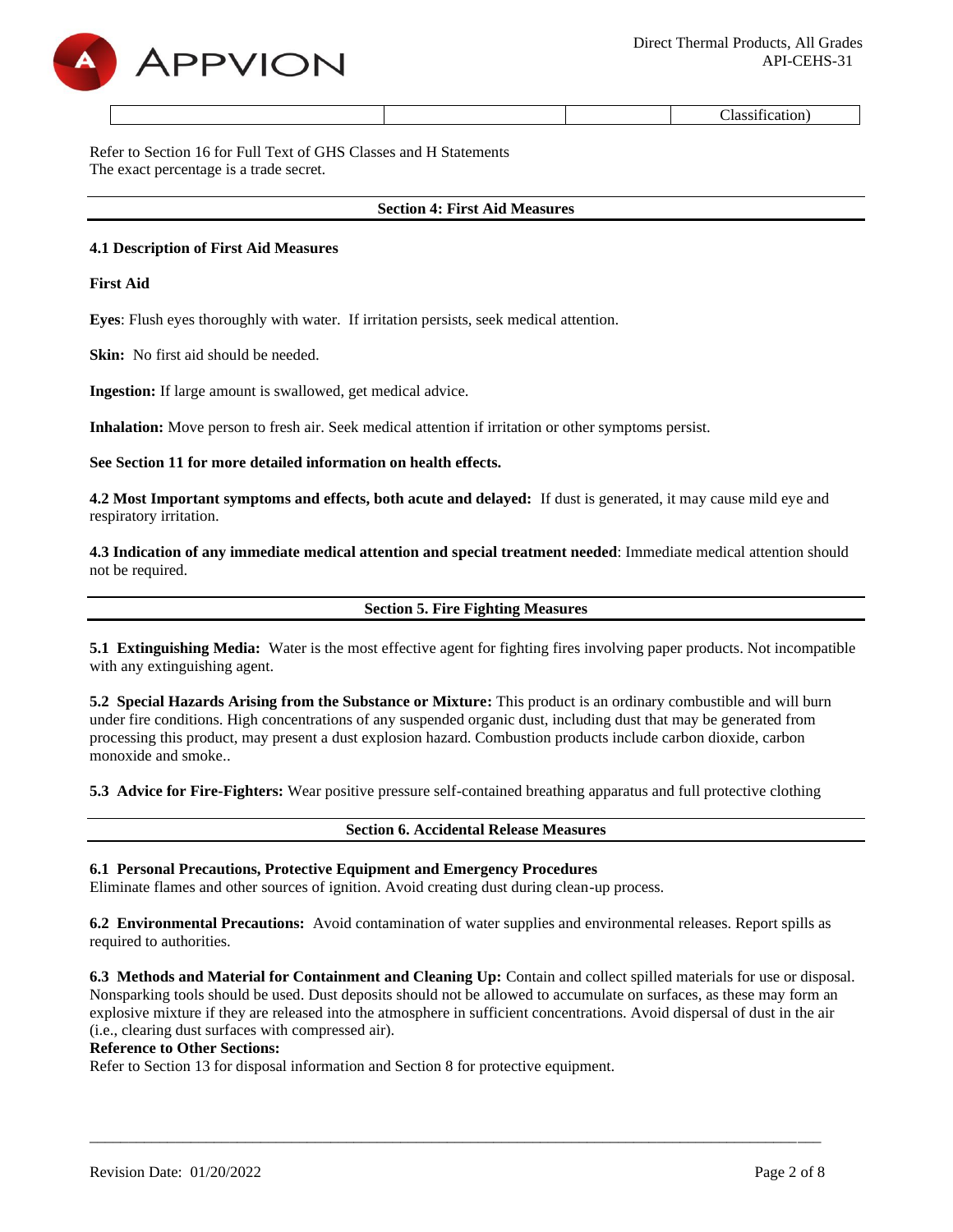

Classification)

Refer to Section 16 for Full Text of GHS Classes and H Statements The exact percentage is a trade secret.

#### **Section 4: First Aid Measures**

#### **4.1 Description of First Aid Measures**

**First Aid**

**Eyes**: Flush eyes thoroughly with water. If irritation persists, seek medical attention.

**Skin:** No first aid should be needed.

**Ingestion:** If large amount is swallowed, get medical advice.

**Inhalation:** Move person to fresh air. Seek medical attention if irritation or other symptoms persist.

**See Section 11 for more detailed information on health effects.**

**4.2 Most Important symptoms and effects, both acute and delayed:** If dust is generated, it may cause mild eye and respiratory irritation.

**4.3 Indication of any immediate medical attention and special treatment needed**: Immediate medical attention should not be required.

**Section 5. Fire Fighting Measures**

**5.1 Extinguishing Media:** Water is the most effective agent for fighting fires involving paper products. Not incompatible with any extinguishing agent.

**5.2 Special Hazards Arising from the Substance or Mixture:** This product is an ordinary combustible and will burn under fire conditions. High concentrations of any suspended organic dust, including dust that may be generated from processing this product, may present a dust explosion hazard. Combustion products include carbon dioxide, carbon monoxide and smoke..

**5.3 Advice for Fire-Fighters:** Wear positive pressure self-contained breathing apparatus and full protective clothing

**Section 6. Accidental Release Measures**

#### **6.1 Personal Precautions, Protective Equipment and Emergency Procedures**

Eliminate flames and other sources of ignition. Avoid creating dust during clean-up process.

**6.2 Environmental Precautions:** Avoid contamination of water supplies and environmental releases. Report spills as required to authorities.

**6.3 Methods and Material for Containment and Cleaning Up:** Contain and collect spilled materials for use or disposal. Nonsparking tools should be used. Dust deposits should not be allowed to accumulate on surfaces, as these may form an explosive mixture if they are released into the atmosphere in sufficient concentrations. Avoid dispersal of dust in the air (i.e., clearing dust surfaces with compressed air).

\_\_\_\_\_\_\_\_\_\_\_\_\_\_\_\_\_\_\_\_\_\_\_\_\_\_\_\_\_\_\_\_\_\_\_\_\_\_\_\_\_\_\_\_\_\_\_\_\_\_\_\_\_\_\_\_\_\_\_\_\_\_\_\_\_\_\_\_\_\_\_\_\_\_\_\_\_\_\_\_\_\_\_\_\_\_\_\_\_\_\_\_\_\_

#### **Reference to Other Sections:**

Refer to Section 13 for disposal information and Section 8 for protective equipment.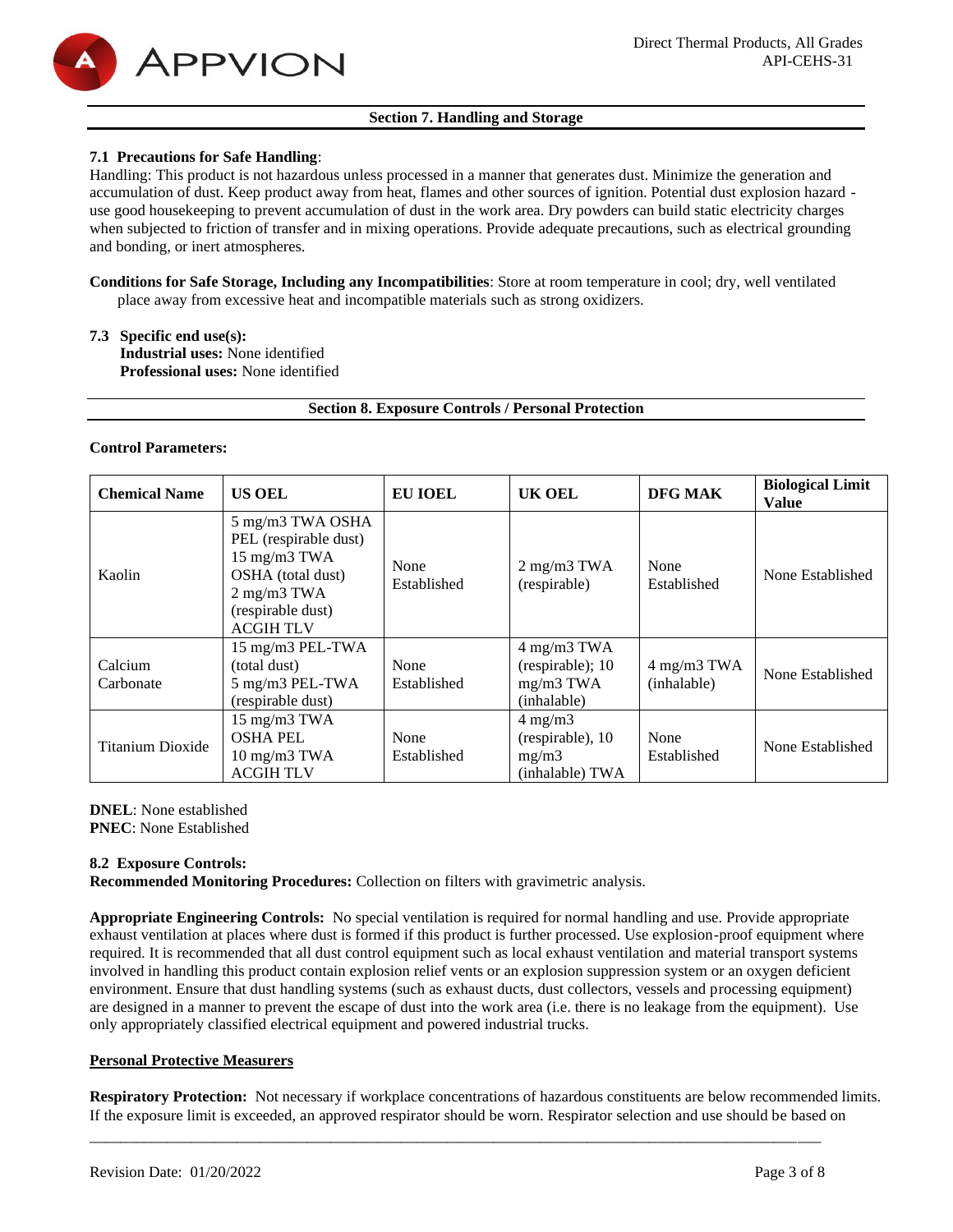

# **Section 7. Handling and Storage**

# **7.1 Precautions for Safe Handling**:

Handling: This product is not hazardous unless processed in a manner that generates dust. Minimize the generation and accumulation of dust. Keep product away from heat, flames and other sources of ignition. Potential dust explosion hazard use good housekeeping to prevent accumulation of dust in the work area. Dry powders can build static electricity charges when subjected to friction of transfer and in mixing operations. Provide adequate precautions, such as electrical grounding and bonding, or inert atmospheres.

**Conditions for Safe Storage, Including any Incompatibilities**: Store at room temperature in cool; dry, well ventilated place away from excessive heat and incompatible materials such as strong oxidizers.

# **7.3 Specific end use(s):**

**Industrial uses:** None identified **Professional uses:** None identified

**Section 8. Exposure Controls / Personal Protection**

#### **Control Parameters:**

| <b>Chemical Name</b> | <b>US OEL</b>                                                                                                                                           | <b>EU IOEL</b>      | <b>UK OEL</b>                                                    | DFG MAK                    | <b>Biological Limit</b><br><b>Value</b> |
|----------------------|---------------------------------------------------------------------------------------------------------------------------------------------------------|---------------------|------------------------------------------------------------------|----------------------------|-----------------------------------------|
| Kaolin               | 5 mg/m3 TWA OSHA<br>PEL (respirable dust)<br>15 mg/m3 TWA<br>OSHA (total dust)<br>$2 \text{ mg/m}3 \text{ TWA}$<br>(respirable dust)<br><b>ACGIHTLV</b> | None<br>Established | $2$ mg/m $3$ TWA<br>(respirable)                                 | None<br>Established        | None Established                        |
| Calcium<br>Carbonate | 15 mg/m3 PEL-TWA<br>(total dust)<br>5 mg/m3 PEL-TWA<br>(respirable dust)                                                                                | None<br>Established | 4 mg/m3 TWA<br>(respirable); 10<br>$mg/m3$ TWA<br>(inhalable)    | 4 mg/m3 TWA<br>(inhalable) | None Established                        |
| Titanium Dioxide     | 15 mg/m3 TWA<br><b>OSHA PEL</b><br>$10 \text{ mg/m}$ $3 \text{ TWA}$<br><b>ACGIHTLV</b>                                                                 | None<br>Established | $4 \text{ mg/m}$<br>(respirable), 10<br>mg/m3<br>(inhalable) TWA | None<br>Established        | None Established                        |

**DNEL**: None established **PNEC**: None Established

# **8.2 Exposure Controls:**

**Recommended Monitoring Procedures:** Collection on filters with gravimetric analysis.

**Appropriate Engineering Controls:** No special ventilation is required for normal handling and use. Provide appropriate exhaust ventilation at places where dust is formed if this product is further processed. Use explosion-proof equipment where required. It is recommended that all dust control equipment such as local exhaust ventilation and material transport systems involved in handling this product contain explosion relief vents or an explosion suppression system or an oxygen deficient environment. Ensure that dust handling systems (such as exhaust ducts, dust collectors, vessels and processing equipment) are designed in a manner to prevent the escape of dust into the work area (i.e. there is no leakage from the equipment). Use only appropriately classified electrical equipment and powered industrial trucks.

#### **Personal Protective Measurers**

**Respiratory Protection:** Not necessary if workplace concentrations of hazardous constituents are below recommended limits. If the exposure limit is exceeded, an approved respirator should be worn. Respirator selection and use should be based on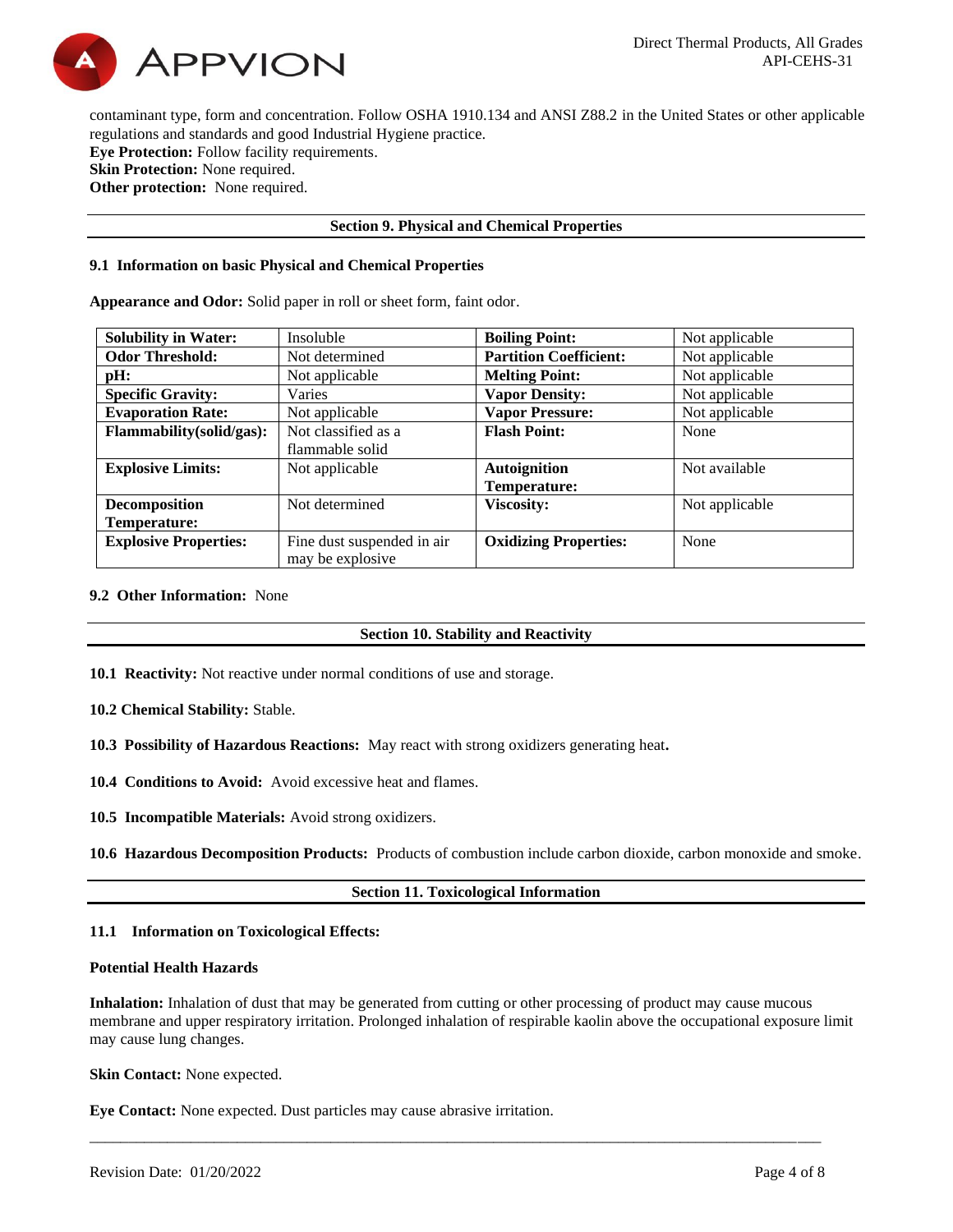

contaminant type, form and concentration. Follow OSHA 1910.134 and ANSI Z88.2 in the United States or other applicable regulations and standards and good Industrial Hygiene practice. **Eye Protection:** Follow facility requirements. **Skin Protection:** None required. **Other protection:** None required.

# **Section 9. Physical and Chemical Properties**

#### **9.1 Information on basic Physical and Chemical Properties**

**Appearance and Odor:** Solid paper in roll or sheet form, faint odor.

| <b>Solubility in Water:</b>  | Insoluble                                       | <b>Boiling Point:</b>         | Not applicable |
|------------------------------|-------------------------------------------------|-------------------------------|----------------|
| <b>Odor Threshold:</b>       | Not determined                                  | <b>Partition Coefficient:</b> | Not applicable |
| pH:                          | Not applicable                                  | <b>Melting Point:</b>         | Not applicable |
| <b>Specific Gravity:</b>     | Varies                                          | <b>Vapor Density:</b>         | Not applicable |
| <b>Evaporation Rate:</b>     | Not applicable                                  | <b>Vapor Pressure:</b>        | Not applicable |
| Flammability(solid/gas):     | Not classified as a                             | <b>Flash Point:</b>           | None           |
|                              | flammable solid                                 |                               |                |
| <b>Explosive Limits:</b>     | Not applicable                                  | <b>Autoignition</b>           | Not available  |
|                              |                                                 | Temperature:                  |                |
| <b>Decomposition</b>         | Not determined                                  | <b>Viscosity:</b>             | Not applicable |
| Temperature:                 |                                                 |                               |                |
| <b>Explosive Properties:</b> | Fine dust suspended in air<br>may be explosive. | <b>Oxidizing Properties:</b>  | None           |

#### **9.2 Other Information:** None

#### **Section 10. Stability and Reactivity**

**10.1 Reactivity:** Not reactive under normal conditions of use and storage.

**10.2 Chemical Stability:** Stable.

- **10.3 Possibility of Hazardous Reactions:** May react with strong oxidizers generating heat**.**
- **10.4 Conditions to Avoid:** Avoid excessive heat and flames.

**10.5 Incompatible Materials:** Avoid strong oxidizers.

**10.6 Hazardous Decomposition Products:** Products of combustion include carbon dioxide, carbon monoxide and smoke.

#### **Section 11. Toxicological Information**

#### **11.1 Information on Toxicological Effects:**

#### **Potential Health Hazards**

**Inhalation:** Inhalation of dust that may be generated from cutting or other processing of product may cause mucous membrane and upper respiratory irritation. Prolonged inhalation of respirable kaolin above the occupational exposure limit may cause lung changes.

\_\_\_\_\_\_\_\_\_\_\_\_\_\_\_\_\_\_\_\_\_\_\_\_\_\_\_\_\_\_\_\_\_\_\_\_\_\_\_\_\_\_\_\_\_\_\_\_\_\_\_\_\_\_\_\_\_\_\_\_\_\_\_\_\_\_\_\_\_\_\_\_\_\_\_\_\_\_\_\_\_\_\_\_\_\_\_\_\_\_\_\_\_\_

**Skin Contact:** None expected.

**Eye Contact:** None expected. Dust particles may cause abrasive irritation.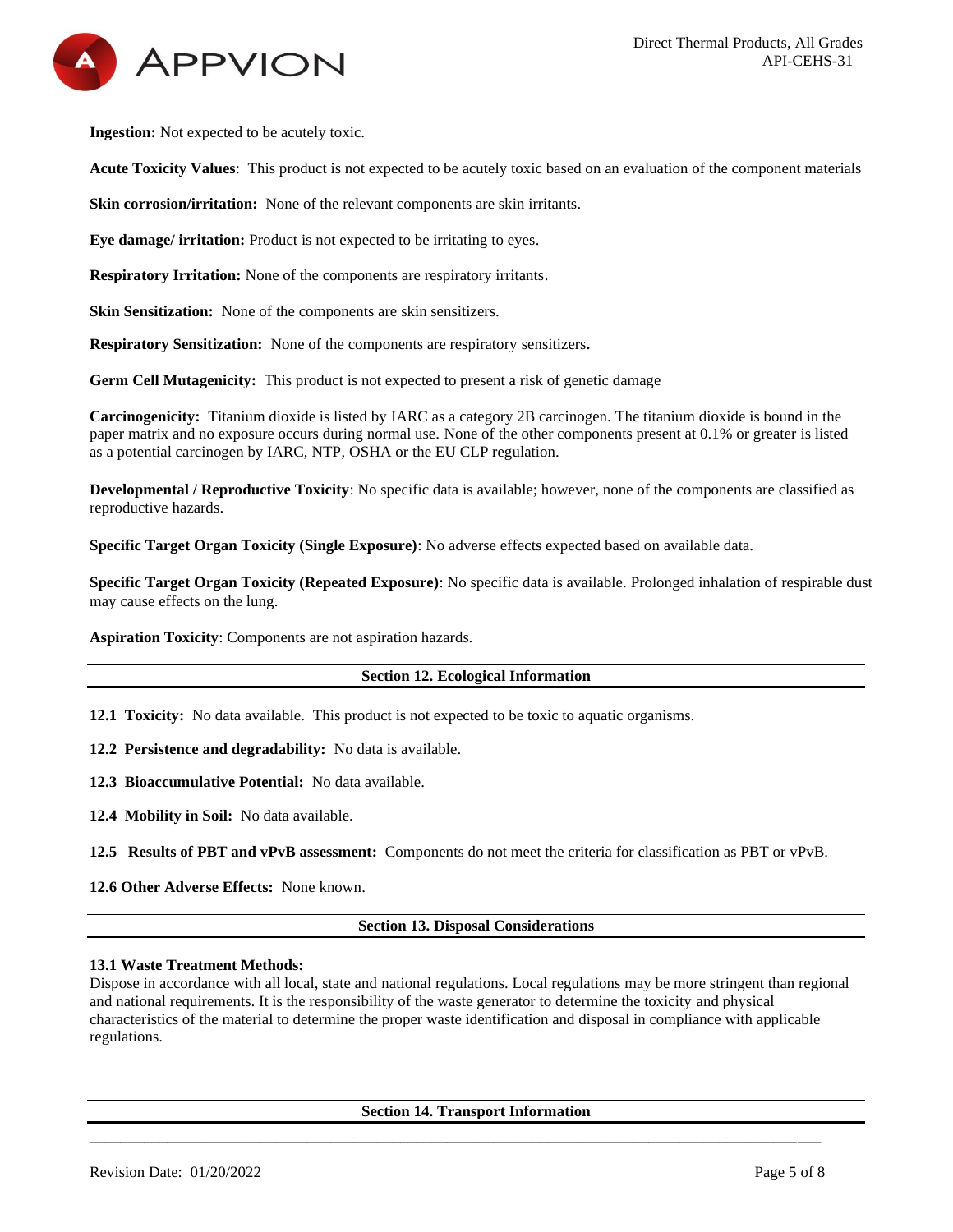

**Ingestion:** Not expected to be acutely toxic.

**Acute Toxicity Values**: This product is not expected to be acutely toxic based on an evaluation of the component materials

**Skin corrosion/irritation:** None of the relevant components are skin irritants.

**Eye damage/ irritation:** Product is not expected to be irritating to eyes.

**Respiratory Irritation:** None of the components are respiratory irritants.

**Skin Sensitization:** None of the components are skin sensitizers.

**Respiratory Sensitization:** None of the components are respiratory sensitizers**.**

**Germ Cell Mutagenicity:** This product is not expected to present a risk of genetic damage

**Carcinogenicity:** Titanium dioxide is listed by IARC as a category 2B carcinogen. The titanium dioxide is bound in the paper matrix and no exposure occurs during normal use. None of the other components present at 0.1% or greater is listed as a potential carcinogen by IARC, NTP, OSHA or the EU CLP regulation.

**Developmental / Reproductive Toxicity**: No specific data is available; however, none of the components are classified as reproductive hazards.

**Specific Target Organ Toxicity (Single Exposure)**: No adverse effects expected based on available data.

**Specific Target Organ Toxicity (Repeated Exposure)**: No specific data is available. Prolonged inhalation of respirable dust may cause effects on the lung.

**Aspiration Toxicity**: Components are not aspiration hazards.

#### **Section 12. Ecological Information**

**12.1 Toxicity:** No data available. This product is not expected to be toxic to aquatic organisms.

**12.2 Persistence and degradability:** No data is available.

**12.3 Bioaccumulative Potential:** No data available.

**12.4 Mobility in Soil:** No data available.

**12.5 Results of PBT and vPvB assessment:** Components do not meet the criteria for classification as PBT or vPvB.

**12.6 Other Adverse Effects:** None known.

#### **Section 13. Disposal Considerations**

#### **13.1 Waste Treatment Methods:**

Dispose in accordance with all local, state and national regulations. Local regulations may be more stringent than regional and national requirements. It is the responsibility of the waste generator to determine the toxicity and physical characteristics of the material to determine the proper waste identification and disposal in compliance with applicable regulations.

#### **Section 14. Transport Information**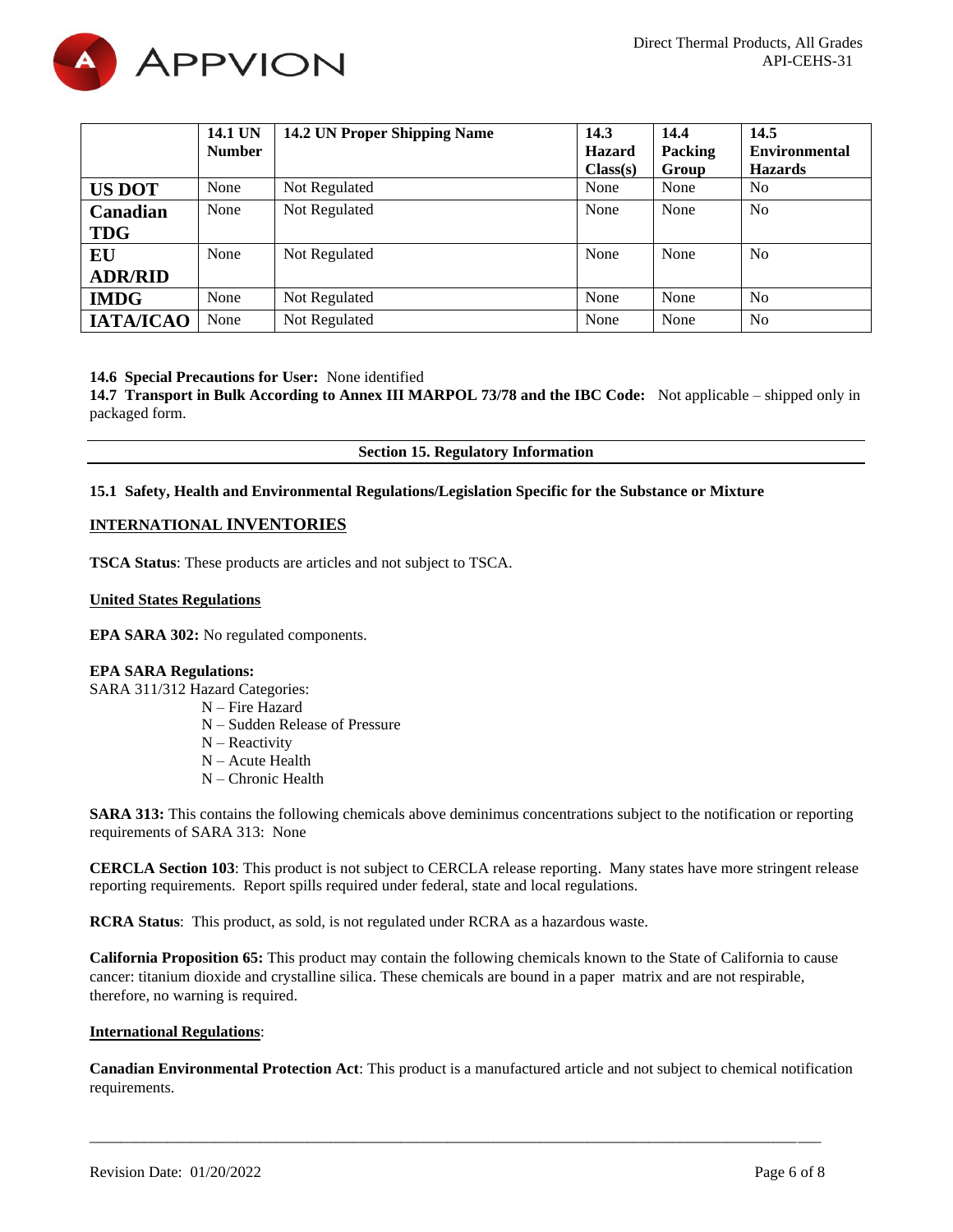

|                  | 14.1 UN       | 14.2 UN Proper Shipping Name | 14.3          | 14.4    | 14.5                 |
|------------------|---------------|------------------------------|---------------|---------|----------------------|
|                  | <b>Number</b> |                              | <b>Hazard</b> | Packing | <b>Environmental</b> |
|                  |               |                              | Class(s)      | Group   | <b>Hazards</b>       |
| <b>US DOT</b>    | None          | Not Regulated                | None          | None    | N <sub>0</sub>       |
| Canadian         | None          | Not Regulated                | None          | None    | N <sub>0</sub>       |
| <b>TDG</b>       |               |                              |               |         |                      |
| EU               | None          | Not Regulated                | None          | None    | N <sub>0</sub>       |
| <b>ADR/RID</b>   |               |                              |               |         |                      |
| <b>IMDG</b>      | None          | Not Regulated                | None          | None    | N <sub>0</sub>       |
| <b>ІАТА/ІСАО</b> | None          | Not Regulated                | None          | None    | N <sub>0</sub>       |

#### **14.6 Special Precautions for User:** None identified

**14.7 Transport in Bulk According to Annex III MARPOL 73/78 and the IBC Code:** Not applicable – shipped only in packaged form.

#### **Section 15. Regulatory Information**

#### **15.1 Safety, Health and Environmental Regulations/Legislation Specific for the Substance or Mixture**

# **INTERNATIONAL INVENTORIES**

**TSCA Status**: These products are articles and not subject to TSCA.

#### **United States Regulations**

**EPA SARA 302:** No regulated components.

#### **EPA SARA Regulations:**

SARA 311/312 Hazard Categories:

- N Fire Hazard
	- N Sudden Release of Pressure
	- N Reactivity
	- N Acute Health
	- N Chronic Health

**SARA 313:** This contains the following chemicals above deminimus concentrations subject to the notification or reporting requirements of SARA 313: None

**CERCLA Section 103**: This product is not subject to CERCLA release reporting. Many states have more stringent release reporting requirements. Report spills required under federal, state and local regulations.

**RCRA Status**: This product, as sold, is not regulated under RCRA as a hazardous waste.

**California Proposition 65:** This product may contain the following chemicals known to the State of California to cause cancer: titanium dioxide and crystalline silica. These chemicals are bound in a paper matrix and are not respirable, therefore, no warning is required.

### **International Regulations**:

**Canadian Environmental Protection Act**: This product is a manufactured article and not subject to chemical notification requirements.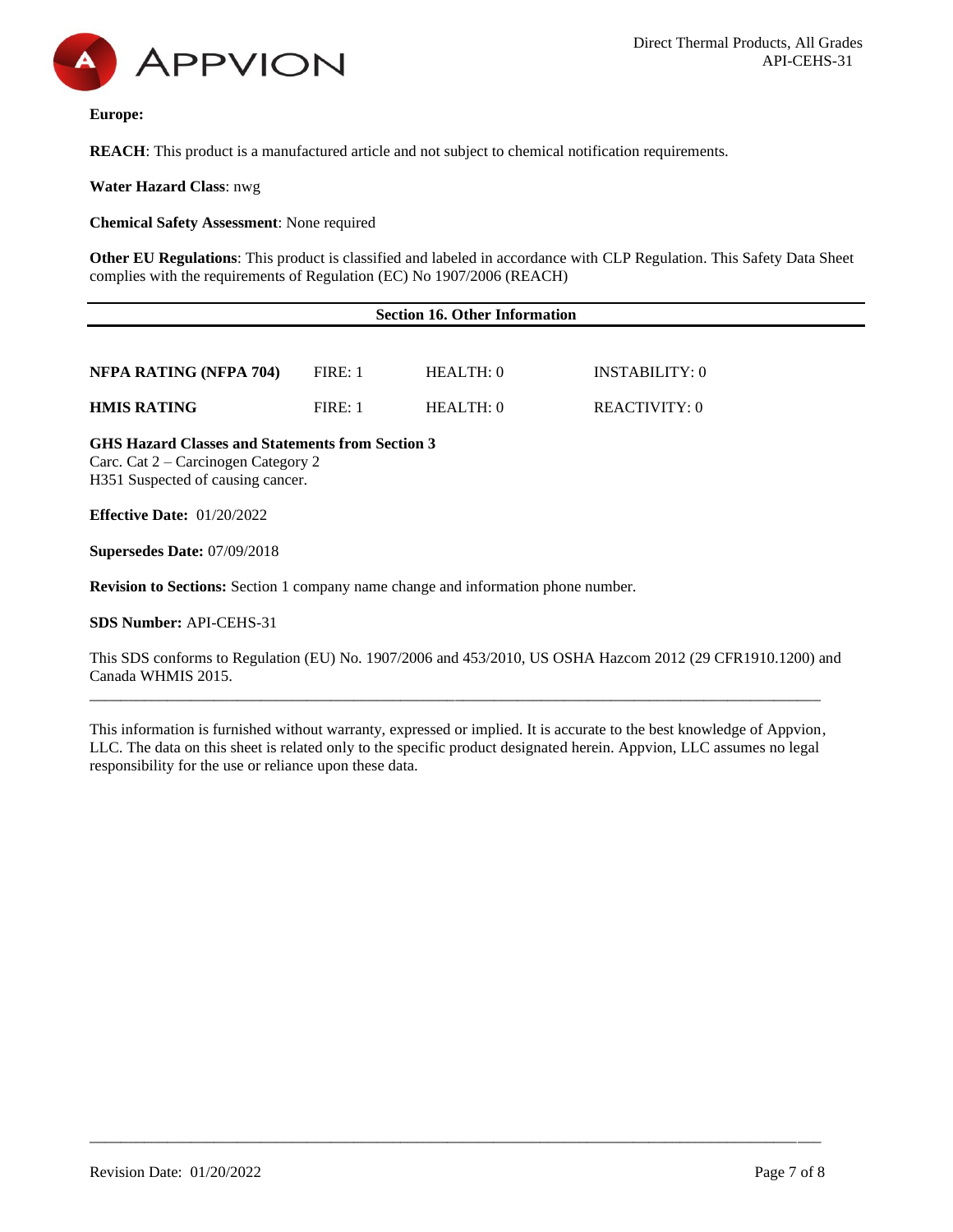

**Europe:** 

**REACH**: This product is a manufactured article and not subject to chemical notification requirements.

**Water Hazard Class**: nwg

**Chemical Safety Assessment**: None required

**Other EU Regulations**: This product is classified and labeled in accordance with CLP Regulation. This Safety Data Sheet complies with the requirements of Regulation (EC) No 1907/2006 (REACH)

|                                                                                                                              |         | <b>Section 16. Other Information</b> |                |
|------------------------------------------------------------------------------------------------------------------------------|---------|--------------------------------------|----------------|
|                                                                                                                              |         |                                      |                |
| NFPA RATING (NFPA 704)                                                                                                       | FIRE: 1 | HEALTH: 0                            | INSTABILITY: 0 |
| <b>HMIS RATING</b>                                                                                                           | FIRE: 1 | HEALTH: 0                            | REACTIVITY: 0  |
| GHS Hazard Classes and Statements from Section 3<br>Carc. Cat 2 – Carcinogen Category 2<br>H351 Suspected of causing cancer. |         |                                      |                |

**Effective Date:** 01/20/2022

**Supersedes Date:** 07/09/2018

**Revision to Sections:** Section 1 company name change and information phone number.

**SDS Number:** API-CEHS-31

This SDS conforms to Regulation (EU) No. 1907/2006 and 453/2010, US OSHA Hazcom 2012 (29 CFR1910.1200) and Canada WHMIS 2015.

This information is furnished without warranty, expressed or implied. It is accurate to the best knowledge of Appvion, LLC. The data on this sheet is related only to the specific product designated herein. Appvion, LLC assumes no legal responsibility for the use or reliance upon these data.

\_\_\_\_\_\_\_\_\_\_\_\_\_\_\_\_\_\_\_\_\_\_\_\_\_\_\_\_\_\_\_\_\_\_\_\_\_\_\_\_\_\_\_\_\_\_\_\_\_\_\_\_\_\_\_\_\_\_\_\_\_\_\_\_\_\_\_\_\_\_\_\_\_\_\_\_\_\_\_\_\_\_\_\_\_\_\_\_\_\_\_\_\_\_